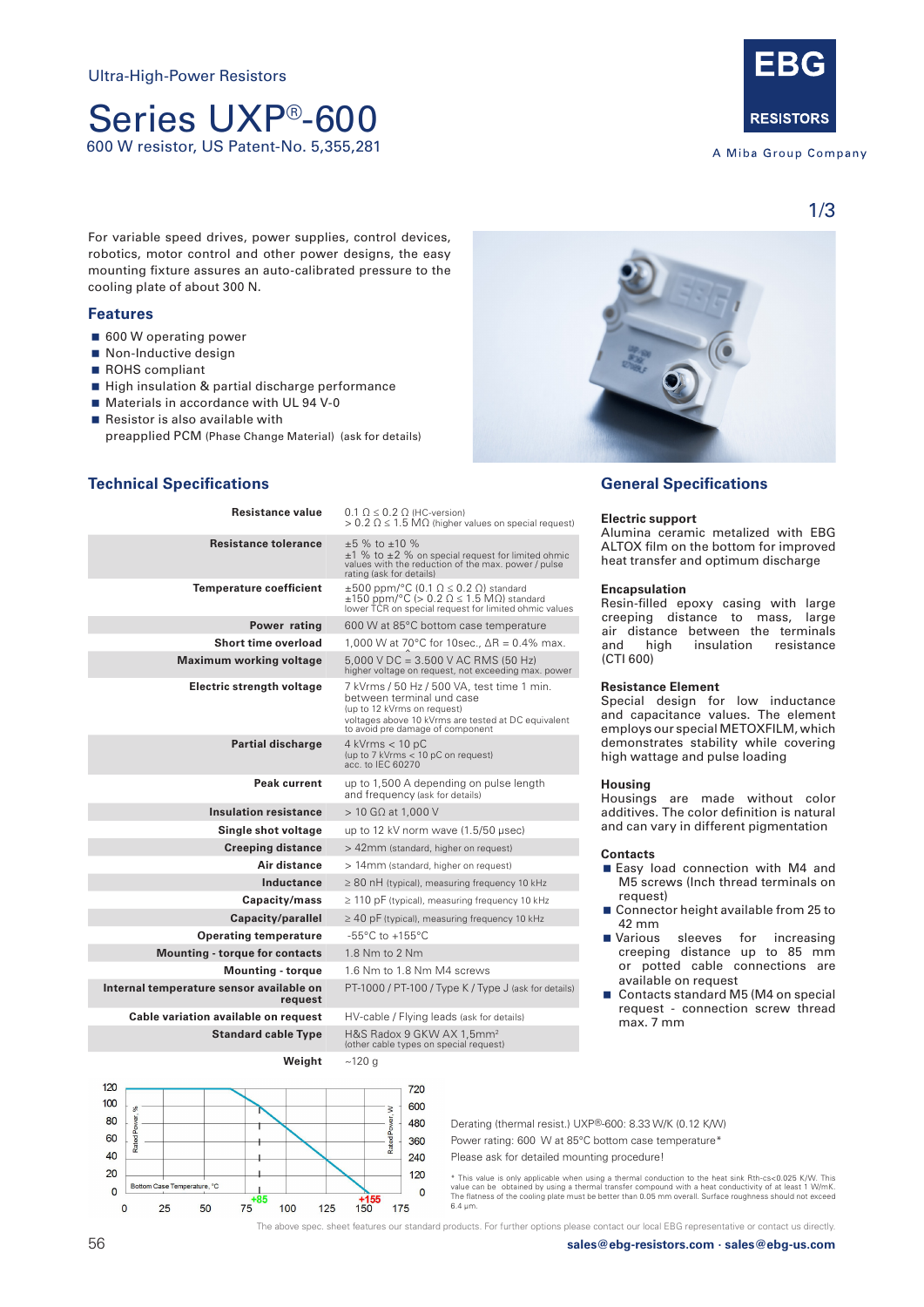# Series UXP®-600 600 W resistor, US Patent-No. 5,355,281



A Miba Group Company

1/3

For variable speed drives, power supplies, control devices, robotics, motor control and other power designs, the easy mounting fixture assures an auto-calibrated pressure to the cooling plate of about 300 N.

# **Features**

- 600 W operating power
- Non-Inductive design
- ROHS compliant
- High insulation & partial discharge performance
- **Materials in accordance with UL 94 V-0**
- $\blacksquare$  Resistor is also available with
	- preapplied PCM (Phase Change Material) (ask for details)



# **Technical Specifications**

| Resistance value                                    | $0.1 \Omega \leq 0.2 \Omega$ (HC-version)<br>$> 0.2$ $\Omega \leq 1.5$ M $\Omega$ (higher values on special request)                                                                              |  |
|-----------------------------------------------------|---------------------------------------------------------------------------------------------------------------------------------------------------------------------------------------------------|--|
| <b>Resistance tolerance</b>                         | $\pm 5$ % to $\pm 10$ %<br>$\pm 1$ % to $\pm 2$ % on special request for limited ohmic<br>values with the reduction of the max. power / pulse<br>rating (ask for details)                         |  |
| <b>Temperature coefficient</b>                      | $\pm 500$ ppm/°C (0.1 $\Omega \le 0.2$ $\Omega$ ) standard<br>$\pm 150$ ppm/°C (> 0.2 $\Omega \le 1.5$ M $\Omega$ ) standard<br>lower TCR on special request for limited ohmic values             |  |
| Power rating                                        | 600 W at 85°C bottom case temperature                                                                                                                                                             |  |
| Short time overload                                 | 1,000 W at 70°C for 10sec., ∆R = 0.4% max.                                                                                                                                                        |  |
| <b>Maximum working voltage</b>                      | $5,000$ V DC = 3.500 V AC RMS (50 Hz)<br>higher voltage on request, not exceeding max. power                                                                                                      |  |
| Electric strength voltage                           | 7 kVrms / 50 Hz / 500 VA, test time 1 min.<br>between terminal und case<br>(up to 12 kVrms on request)<br>voltages above 10 kVrms are tested at DC equivalent<br>to avoid pre damage of component |  |
| <b>Partial discharge</b>                            | $4$ kVrms $<$ 10 pC<br>(up to 7 kVrms < 10 pC on request)<br>acc. to IEC 60270                                                                                                                    |  |
| Peak current                                        | up to 1,500 A depending on pulse length<br>and frequency (ask for details)                                                                                                                        |  |
| <b>Insulation resistance</b>                        | $>$ 10 GΩ at 1,000 V                                                                                                                                                                              |  |
| Single shot voltage                                 | up to 12 kV norm wave (1.5/50 usec)                                                                                                                                                               |  |
| <b>Creeping distance</b>                            | > 42mm (standard, higher on request)                                                                                                                                                              |  |
| Air distance                                        | > 14mm (standard, higher on request)                                                                                                                                                              |  |
| Inductance                                          | $\geq$ 80 nH (typical), measuring frequency 10 kHz                                                                                                                                                |  |
| Capacity/mass                                       | $\geq$ 110 pF (typical), measuring frequency 10 kHz                                                                                                                                               |  |
| Capacity/parallel                                   | $\geq$ 40 pF (typical), measuring frequency 10 kHz                                                                                                                                                |  |
| <b>Operating temperature</b>                        | -55 $\degree$ C to +155 $\degree$ C                                                                                                                                                               |  |
| <b>Mounting - torque for contacts</b>               | 1.8 Nm to 2 Nm                                                                                                                                                                                    |  |
| <b>Mounting - torque</b>                            | 1.6 Nm to 1.8 Nm M4 screws                                                                                                                                                                        |  |
| Internal temperature sensor available on<br>request | PT-1000 / PT-100 / Type K / Type J (ask for details)                                                                                                                                              |  |
| Cable variation available on request                | HV-cable / Flying leads (ask for details)                                                                                                                                                         |  |
| <b>Standard cable Type</b>                          | H&S Radox 9 GKW AX 1,5mm <sup>2</sup><br>(other cable types on special request)                                                                                                                   |  |
| Weiaht                                              | ~120q                                                                                                                                                                                             |  |

720

600  $\geq$ 

480

360

 $240$ 

120

 $\overline{0}$ 

Rated<sub>Po</sub>

175

# **General Specifications**

#### **Electric support**

Alumina ceramic metalized with EBG ALTOX film on the bottom for improved heat transfer and optimum discharge

#### **Encapsulation**

Resin-filled epoxy casing with large creeping distance to mass, large air distance between the terminals<br>and high insulation resistance and high (CTI 600)

### **Resistance Element**

Special design for low inductance and capacitance values. The element employs our special METOXFILM, which demonstrates stability while covering high wattage and pulse loading

#### **Housing**

Housings are made without color additives. The color definition is natural and can vary in different pigmentation

#### **Contacts**

- Easy load connection with M4 and M5 screws (Inch thread terminals on request)
- Connector height available from 25 to 42 mm
- **Narious** sleeves for increasing creeping distance up to 85 mm or potted cable connections are available on request
- Contacts standard M5 (M4 on special request - connection screw thread max. 7 mm

Derating (thermal resist.) UXP®-600: 8.33 W/K (0.12 K/W) Power rating: 600 W at 85°C bottom case temperature\* Please ask for detailed mounting procedure!

\* This value is only applicable when using a thermal conduction to the heat sink Rth-cs<0.025 K/W. This value can be obtained by using a thermal transfer compound with a heat conductivity of at least 1 W/mK. The flatness of the cooling plate must be better than 0.05 mm overall. Surface roughness should not exceed 6.4 μm.

The above spec. sheet features our standard products. For further options please contact our local EBG representative or contact us directly.

 $120$ 

 $100$ 

80

60

40

 $20$ 

 $\Omega$ 

 $\overline{0}$ 

m Case Temperature. °C

50

25

85

100

125

150

75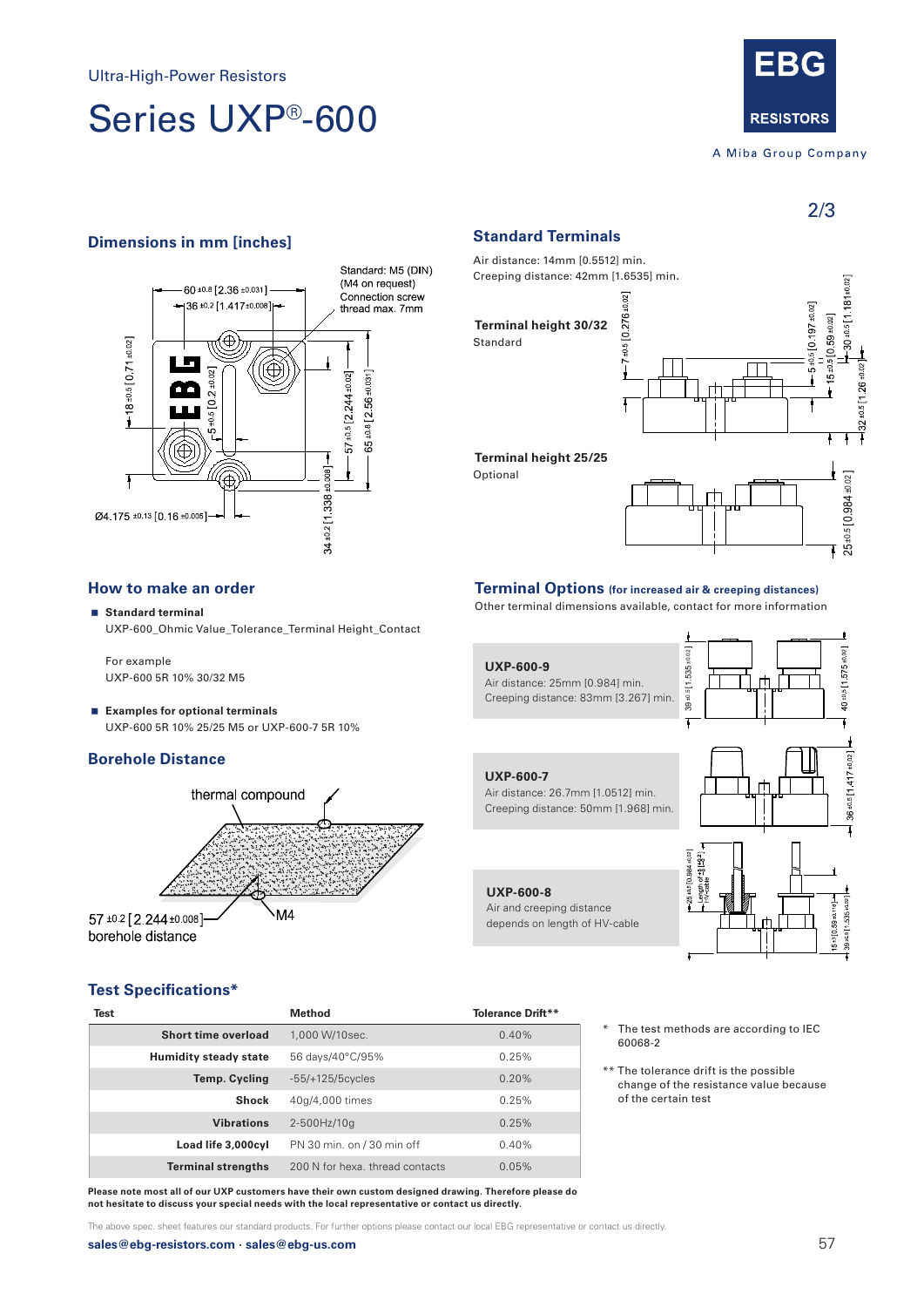# Series UXP®-600



A Miba Group Company

2/3

 $0.5$  [1575±0.02]

 $\ddot{Q}$ 

36 ±0.5 [1 417 ±0.02

 $+0.5[11535]$ 

# **Dimensions in mm [inches] Standard Terminals**



Air distance: 14mm [0.5512] min. Creeping distance: 42mm [1.6535] min.

**Terminal height 30/32** Standard

Optional



# **How to make an order**

 **Standard terminal** UXP-600\_Ohmic Value\_Tolerance\_Terminal Height\_Contact

For example UXP-600 5R 10% 30/32 M5

 **Examples for optional terminals** UXP-600 5R 10% 25/25 M5 or UXP-600-7 5R 10%

# **Borehole Distance**



**UXP-600-8**

Air and creeping distance depends on length of HV-cable

**UXP-600-9**

**UXP-600-7** Air distance: 26.7mm [1.0512] min.

Air distance: 25mm [0.984] min. Creeping distance: 83mm [3.267] min.

Creeping distance: 50mm [1.968] min.



**Terminal Options (for increased air & creeping distances)** Other terminal dimensions available, contact for more information

39 ±0.5 1.535 ±0.02 ]

 $39 + 0.511, 535 + 0.02$ 

ر<br>أم

 $7 - 8 = 8$ **95601976**  $10.59 + 0.1$ 

The test methods are according to IEC

\*\* The tolerance drift is the possible change of the resistance value because

60068-2

of the certain test

# **Test Specifications\***

| <b>Test</b> |                              | Method                          | Tolerance Drift** |
|-------------|------------------------------|---------------------------------|-------------------|
|             | Short time overload          | 1,000 W/10sec.                  | 0.40%             |
|             | <b>Humidity steady state</b> | 56 days/40°C/95%                | 0.25%             |
|             | <b>Temp. Cycling</b>         | $-55/+125/5cycles$              | 0.20%             |
|             | <b>Shock</b>                 | 40q/4,000 times                 | 0.25%             |
|             | <b>Vibrations</b>            | 2-500Hz/10q                     | 0.25%             |
|             | Load life 3,000cyl           | PN 30 min. on / 30 min off      | 0.40%             |
|             | <b>Terminal strengths</b>    | 200 N for hexa, thread contacts | 0.05%             |

**Please note most all of our UXP customers have their own custom designed drawing. Therefore please do not hesitate to discuss your special needs with the local representative or contact us directly.**

The above spec. sheet features our standard products. For further options please contact our local EBG representative or contact us directly.